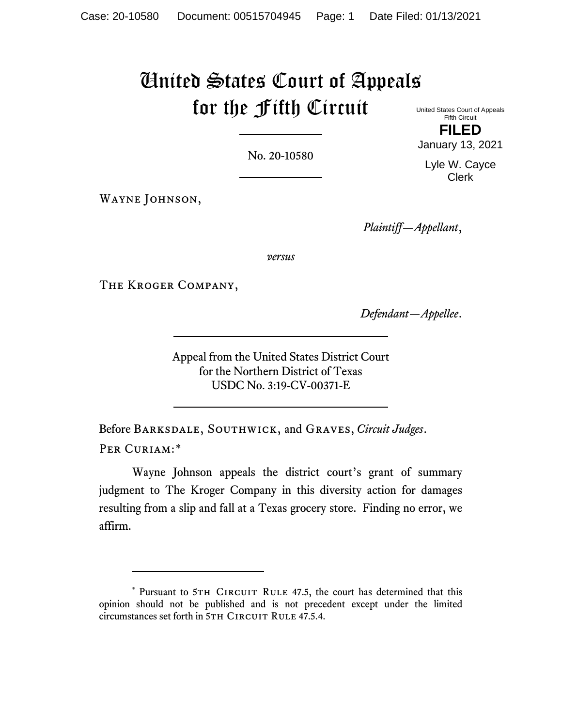# United States Court of Appeals for the Fifth Circuit United States Court of Appeals

No. 20-10580

WAYNE JOHNSON,

*Plaintiff—Appellant*,

*versus*

The Kroger Company,

*Defendant—Appellee*.

Appeal from the United States District Court for the Northern District of Texas USDC No. 3:19-CV-00371-E

Before Barksdale, Southwick, and Graves, *Circuit Judges*. PER CURIAM:[\\*](#page-0-0)

Wayne Johnson appeals the district court's grant of summary judgment to The Kroger Company in this diversity action for damages resulting from a slip and fall at a Texas grocery store. Finding no error, we affirm.

Fifth Circuit **FILED** January 13, 2021

Lyle W. Cayce Clerk

<span id="page-0-0"></span><sup>\*</sup> Pursuant to 5TH CIRCUIT RULE 47.5, the court has determined that this opinion should not be published and is not precedent except under the limited circumstances set forth in 5TH CIRCUIT RULE 47.5.4.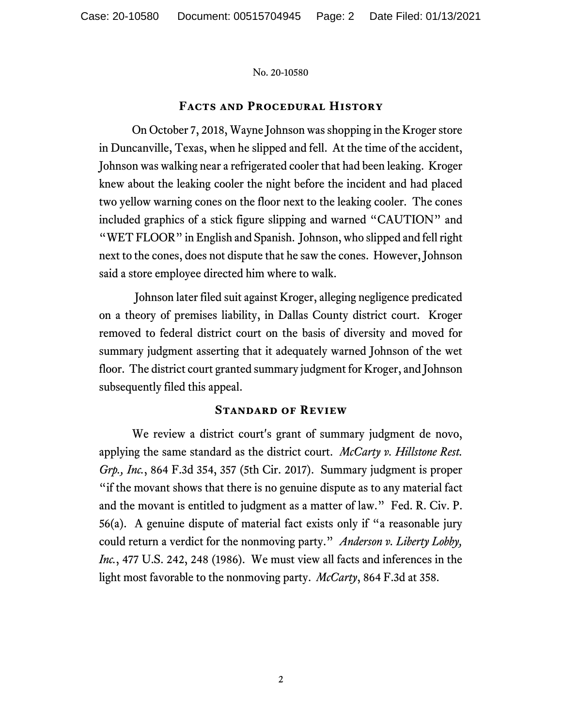## **Facts and Procedural History**

On October 7, 2018, Wayne Johnson was shopping in the Kroger store in Duncanville, Texas, when he slipped and fell. At the time of the accident, Johnson was walking near a refrigerated cooler that had been leaking. Kroger knew about the leaking cooler the night before the incident and had placed two yellow warning cones on the floor next to the leaking cooler. The cones included graphics of a stick figure slipping and warned "CAUTION" and "WET FLOOR" in English and Spanish. Johnson, who slipped and fell right next to the cones, does not dispute that he saw the cones. However, Johnson said a store employee directed him where to walk.

Johnson later filed suit against Kroger, alleging negligence predicated on a theory of premises liability, in Dallas County district court. Kroger removed to federal district court on the basis of diversity and moved for summary judgment asserting that it adequately warned Johnson of the wet floor. The district court granted summary judgment for Kroger, and Johnson subsequently filed this appeal.

## **Standard of Review**

We review a district court's grant of summary judgment de novo, applying the same standard as the district court. *McCarty v. Hillstone Rest. Grp., Inc.*, 864 F.3d 354, 357 (5th Cir. 2017). Summary judgment is proper "if the movant shows that there is no genuine dispute as to any material fact and the movant is entitled to judgment as a matter of law." Fed. R. Civ. P. 56(a). A genuine dispute of material fact exists only if "a reasonable jury could return a verdict for the nonmoving party." *Anderson v. Liberty Lobby, Inc.*, 477 U.S. 242, 248 (1986). We must view all facts and inferences in the light most favorable to the nonmoving party. *McCarty*, 864 F.3d at 358.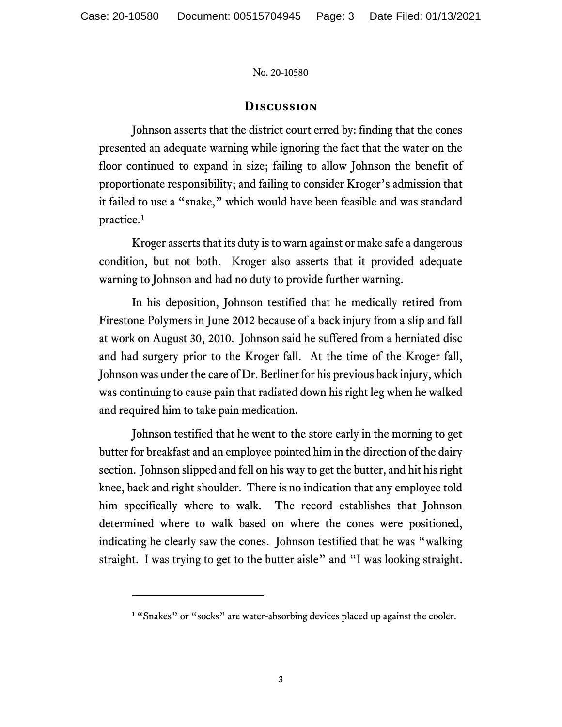## **Discussion**

Johnson asserts that the district court erred by: finding that the cones presented an adequate warning while ignoring the fact that the water on the floor continued to expand in size; failing to allow Johnson the benefit of proportionate responsibility; and failing to consider Kroger's admission that it failed to use a "snake," which would have been feasible and was standard practice.[1](#page-2-0)

Kroger asserts that its duty is to warn against or make safe a dangerous condition, but not both. Kroger also asserts that it provided adequate warning to Johnson and had no duty to provide further warning.

In his deposition, Johnson testified that he medically retired from Firestone Polymers in June 2012 because of a back injury from a slip and fall at work on August 30, 2010. Johnson said he suffered from a herniated disc and had surgery prior to the Kroger fall. At the time of the Kroger fall, Johnson was under the care of Dr. Berliner for his previous back injury, which was continuing to cause pain that radiated down his right leg when he walked and required him to take pain medication.

Johnson testified that he went to the store early in the morning to get butter for breakfast and an employee pointed him in the direction of the dairy section. Johnson slipped and fell on his way to get the butter, and hit his right knee, back and right shoulder. There is no indication that any employee told him specifically where to walk. The record establishes that Johnson determined where to walk based on where the cones were positioned, indicating he clearly saw the cones. Johnson testified that he was "walking straight. I was trying to get to the butter aisle" and "I was looking straight.

<span id="page-2-0"></span><sup>&</sup>lt;sup>1</sup> "Snakes" or "socks" are water-absorbing devices placed up against the cooler.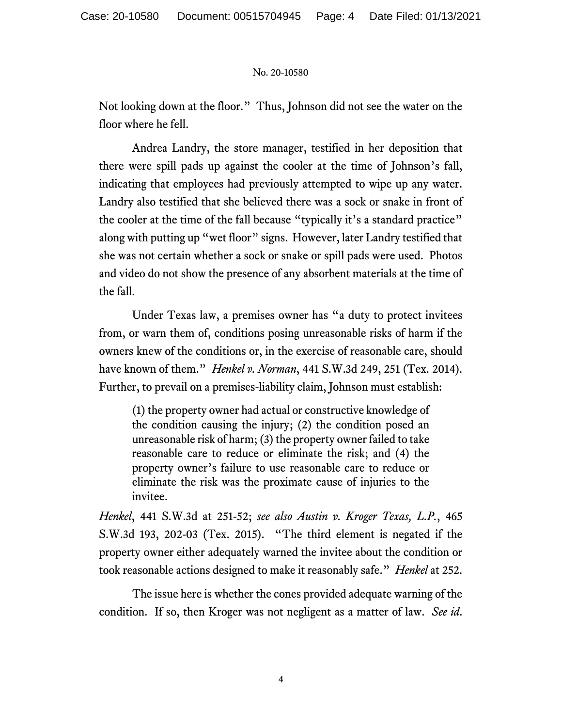Not looking down at the floor." Thus, Johnson did not see the water on the floor where he fell.

Andrea Landry, the store manager, testified in her deposition that there were spill pads up against the cooler at the time of Johnson's fall, indicating that employees had previously attempted to wipe up any water. Landry also testified that she believed there was a sock or snake in front of the cooler at the time of the fall because "typically it's a standard practice" along with putting up "wet floor" signs. However, later Landry testified that she was not certain whether a sock or snake or spill pads were used. Photos and video do not show the presence of any absorbent materials at the time of the fall.

Under Texas law, a premises owner has "a duty to protect invitees from, or warn them of, conditions posing unreasonable risks of harm if the owners knew of the conditions or, in the exercise of reasonable care, should have known of them." *Henkel v. Norman*, 441 S.W.3d 249, 251 (Tex. 2014). Further, to prevail on a premises-liability claim, Johnson must establish:

(1) the property owner had actual or constructive knowledge of the condition causing the injury; (2) the condition posed an unreasonable risk of harm; (3) the property owner failed to take reasonable care to reduce or eliminate the risk; and (4) the property owner's failure to use reasonable care to reduce or eliminate the risk was the proximate cause of injuries to the invitee.

*Henkel*, 441 S.W.3d at 251-52; *see also Austin v. Kroger Texas, L.P.*, 465 S.W.3d 193, 202-03 (Tex. 2015). "The third element is negated if the property owner either adequately warned the invitee about the condition or took reasonable actions designed to make it reasonably safe." *Henkel* at 252.

The issue here is whether the cones provided adequate warning of the condition. If so, then Kroger was not negligent as a matter of law. *See id*.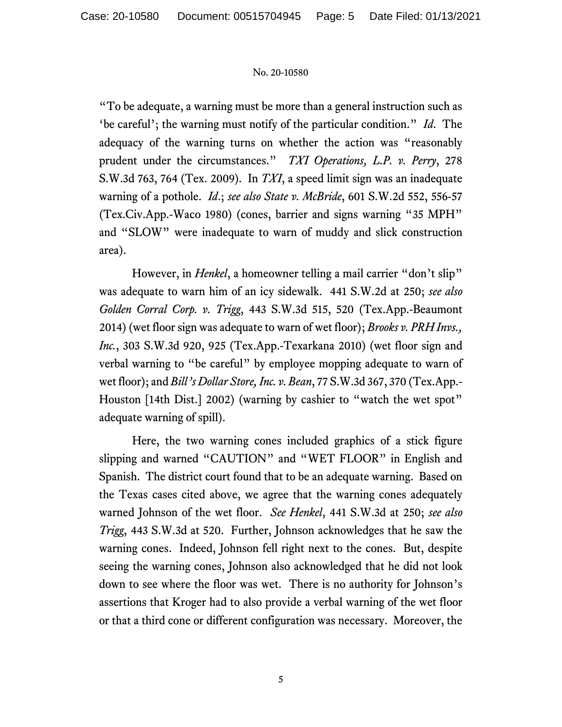"To be adequate, a warning must be more than a general instruction such as 'be careful'; the warning must notify of the particular condition." *Id*. The adequacy of the warning turns on whether the action was "reasonably prudent under the circumstances." *TXI Operations, L.P. v. Perry*, 278 S.W.3d 763, 764 (Tex. 2009). In *TXI*, a speed limit sign was an inadequate warning of a pothole. *Id*.; *see also State v. McBride*, 601 S.W.2d 552, 556-57 (Tex.Civ.App.-Waco 1980) (cones, barrier and signs warning "35 MPH" and "SLOW" were inadequate to warn of muddy and slick construction area).

However, in *Henkel*, a homeowner telling a mail carrier "don't slip" was adequate to warn him of an icy sidewalk. 441 S.W.2d at 250; *see also Golden Corral Corp. v. Trigg*, 443 S.W.3d 515, 520 (Tex.App.-Beaumont 2014) (wet floor sign was adequate to warn of wet floor); *Brooks v. PRH Invs., Inc.*, 303 S.W.3d 920, 925 (Tex.App.-Texarkana 2010) (wet floor sign and verbal warning to "be careful" by employee mopping adequate to warn of wet floor); and *Bill's Dollar Store, Inc. v. Bean*, 77 S.W.3d 367, 370 (Tex.App.- Houston [14th Dist.] 2002) (warning by cashier to "watch the wet spot" adequate warning of spill).

Here, the two warning cones included graphics of a stick figure slipping and warned "CAUTION" and "WET FLOOR" in English and Spanish. The district court found that to be an adequate warning. Based on the Texas cases cited above, we agree that the warning cones adequately warned Johnson of the wet floor. *See Henkel*, 441 S.W.3d at 250; *see also Trigg*, 443 S.W.3d at 520. Further, Johnson acknowledges that he saw the warning cones. Indeed, Johnson fell right next to the cones. But, despite seeing the warning cones, Johnson also acknowledged that he did not look down to see where the floor was wet. There is no authority for Johnson's assertions that Kroger had to also provide a verbal warning of the wet floor or that a third cone or different configuration was necessary. Moreover, the